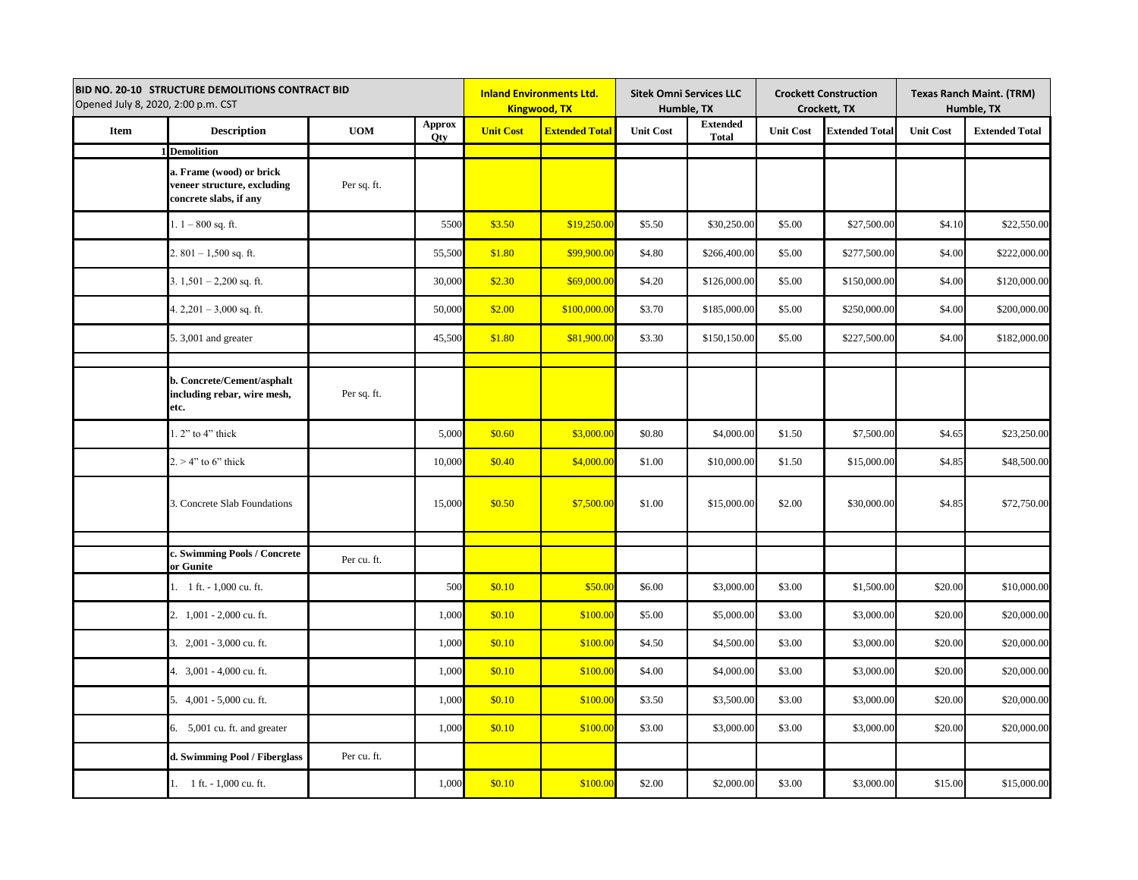| <b>BID NO. 20-10 STRUCTURE DEMOLITIONS CONTRACT BID</b><br>Opened July 8, 2020, 2:00 p.m. CST |                                                                                   |             |                             | <b>Inland Environments Ltd.</b><br><b>Kingwood, TX</b> |                       | <b>Sitek Omni Services LLC</b><br>Humble, TX |                                 | <b>Crockett Construction</b><br>Crockett, TX |                       | <b>Texas Ranch Maint. (TRM)</b><br>Humble, TX |                       |
|-----------------------------------------------------------------------------------------------|-----------------------------------------------------------------------------------|-------------|-----------------------------|--------------------------------------------------------|-----------------------|----------------------------------------------|---------------------------------|----------------------------------------------|-----------------------|-----------------------------------------------|-----------------------|
| Item                                                                                          | <b>Description</b>                                                                | <b>UOM</b>  | <b>Approx</b><br><b>Qty</b> | <b>Unit Cost</b>                                       | <b>Extended Total</b> | <b>Unit Cost</b>                             | <b>Extended</b><br><b>Total</b> | <b>Unit Cost</b>                             | <b>Extended Total</b> | <b>Unit Cost</b>                              | <b>Extended Total</b> |
|                                                                                               | <b>Demolition</b>                                                                 |             |                             |                                                        |                       |                                              |                                 |                                              |                       |                                               |                       |
|                                                                                               | a. Frame (wood) or brick<br>veneer structure, excluding<br>concrete slabs, if any | Per sq. ft. |                             |                                                        |                       |                                              |                                 |                                              |                       |                                               |                       |
|                                                                                               | $1.1 - 800$ sq. ft.                                                               |             | 5500                        | \$3.50                                                 | \$19,250.00           | \$5.50                                       | \$30,250.00                     | \$5.00                                       | \$27,500.00           | \$4.10                                        | \$22,550.00           |
|                                                                                               | 2. $801 - 1,500$ sq. ft.                                                          |             | 55,500                      | \$1.80                                                 | \$99,900.00           | \$4.80                                       | \$266,400.00                    | \$5.00                                       | \$277,500.00          | \$4.00                                        | \$222,000.00          |
|                                                                                               | 3. $1,501 - 2,200$ sq. ft.                                                        |             | 30,000                      | \$2.30                                                 | \$69,000.00           | \$4.20                                       | \$126,000.00                    | \$5.00                                       | \$150,000.00          | \$4.00                                        | \$120,000.00          |
|                                                                                               | 4. $2,201 - 3,000$ sq. ft.                                                        |             | 50,000                      | \$2.00                                                 | \$100,000.00          | \$3.70                                       | \$185,000.00                    | \$5.00                                       | \$250,000.00          | \$4.00                                        | \$200,000.00          |
|                                                                                               | 5.3,001 and greater                                                               |             | 45,500                      | \$1.80                                                 | \$81,900.00           | \$3.30                                       | \$150,150.00                    | \$5.00                                       | \$227,500.00          | \$4.00                                        | \$182,000.00          |
|                                                                                               |                                                                                   |             |                             |                                                        |                       |                                              |                                 |                                              |                       |                                               |                       |
|                                                                                               | b. Concrete/Cement/asphalt<br>including rebar, wire mesh,<br>etc.                 | Per sq. ft. |                             |                                                        |                       |                                              |                                 |                                              |                       |                                               |                       |
|                                                                                               | $1.2$ " to 4" thick                                                               |             | 5,000                       | \$0.60                                                 | \$3,000.00            | \$0.80                                       | \$4,000.00                      | \$1.50                                       | \$7,500.00            | \$4.65                                        | \$23,250.00           |
|                                                                                               | $2. > 4$ " to 6" thick                                                            |             | 10,000                      | \$0.40                                                 | \$4,000.00            | \$1.00                                       | \$10,000.00                     | \$1.50                                       | \$15,000.00           | \$4.85                                        | \$48,500.00           |
|                                                                                               | 3. Concrete Slab Foundations                                                      |             | 15,000                      | \$0.50                                                 | \$7,500.00            | \$1.00                                       | \$15,000.00                     | \$2.00                                       | \$30,000.00           | \$4.85                                        | \$72,750.00           |
|                                                                                               | c. Swimming Pools / Concrete                                                      |             |                             |                                                        |                       |                                              |                                 |                                              |                       |                                               |                       |
|                                                                                               | or Gunite                                                                         | Per cu. ft. |                             |                                                        |                       |                                              |                                 |                                              |                       |                                               |                       |
|                                                                                               | 1. 1 ft. - 1,000 cu. ft.                                                          |             | 500                         | \$0.10                                                 | \$50.00               | \$6.00                                       | \$3,000.00                      | \$3.00                                       | \$1,500.00            | \$20.00                                       | \$10,000.00           |
|                                                                                               | 2. 1,001 - 2,000 cu. ft.                                                          |             | 1,000                       | \$0.10                                                 | \$100.00              | \$5.00                                       | \$5,000.00                      | \$3.00                                       | \$3,000.00            | \$20.00                                       | \$20,000.00           |
|                                                                                               | 3. 2,001 - 3,000 cu. ft.                                                          |             | 1,000                       | \$0.10                                                 | \$100.00              | \$4.50                                       | \$4,500.00                      | \$3.00                                       | \$3,000.00            | \$20.00                                       | \$20,000.00           |
|                                                                                               | 4. 3,001 - 4,000 cu. ft.                                                          |             | 1,000                       | \$0.10                                                 | \$100.00              | \$4.00                                       | \$4,000.00                      | \$3.00                                       | \$3,000.00            | \$20.00                                       | \$20,000.00           |
|                                                                                               | 5. 4,001 - 5,000 cu. ft.                                                          |             | 1,000                       | \$0.10                                                 | \$100.00              | \$3.50                                       | \$3,500.00                      | \$3.00                                       | \$3,000.00            | \$20.00                                       | \$20,000.00           |
|                                                                                               | 6. 5,001 cu. ft. and greater                                                      |             | 1,000                       | \$0.10                                                 | \$100.00              | \$3.00                                       | \$3,000.00                      | \$3.00                                       | \$3,000.00            | \$20.00                                       | \$20,000.00           |
|                                                                                               | d. Swimming Pool / Fiberglass                                                     | Per cu. ft. |                             |                                                        |                       |                                              |                                 |                                              |                       |                                               |                       |
|                                                                                               | 1. 1 ft. - 1,000 cu. ft.                                                          |             | 1,000                       | \$0.10                                                 | \$100.00              | \$2.00                                       | \$2,000.00                      | \$3.00                                       | \$3,000.00            | \$15.00                                       | \$15,000.00           |